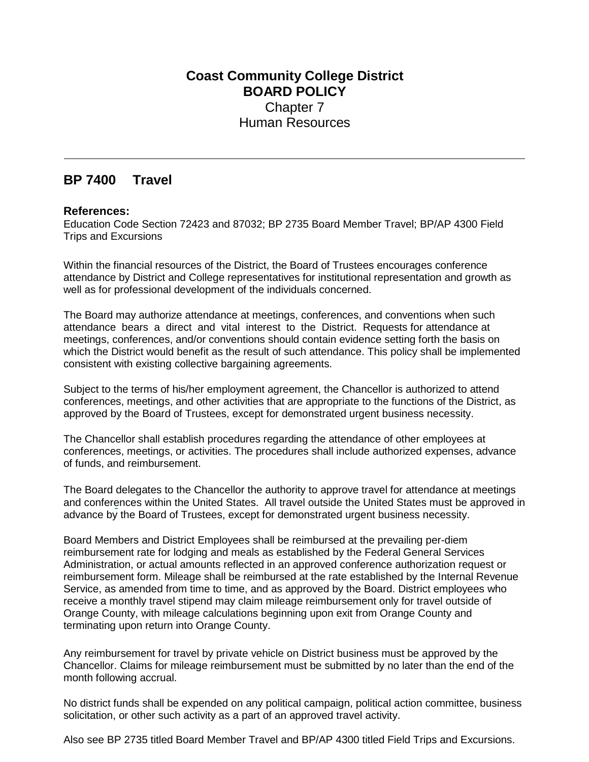## **Coast Community College District BOARD POLICY** Chapter 7 Human Resources

## **BP 7400 Travel**

## **References:**

Education Code Section 72423 and 87032; BP 2735 Board Member Travel; BP/AP 4300 Field Trips and Excursions

Within the financial resources of the District, the Board of Trustees encourages conference attendance by District and College representatives for institutional representation and growth as well as for professional development of the individuals concerned.

The Board may authorize attendance at meetings, conferences, and conventions when such attendance bears a direct and vital interest to the District. Requests for attendance at meetings, conferences, and/or conventions should contain evidence setting forth the basis on which the District would benefit as the result of such attendance. This policy shall be implemented consistent with existing collective bargaining agreements.

Subject to the terms of his/her employment agreement, the Chancellor is authorized to attend conferences, meetings, and other activities that are appropriate to the functions of the District, as approved by the Board of Trustees, except for demonstrated urgent business necessity.

The Chancellor shall establish procedures regarding the attendance of other employees at conferences, meetings, or activities. The procedures shall include authorized expenses, advance of funds, and reimbursement.

The Board delegates to the Chancellor the authority to approve travel for attendance at meetings and conferences within the United States. All travel outside the United States must be approved in advance by the Board of Trustees, except for demonstrated urgent business necessity.

Board Members and District Employees shall be reimbursed at the prevailing per-diem reimbursement rate for lodging and meals as established by the Federal General Services Administration, or actual amounts reflected in an approved conference authorization request or reimbursement form. Mileage shall be reimbursed at the rate established by the Internal Revenue Service, as amended from time to time, and as approved by the Board. District employees who receive a monthly travel stipend may claim mileage reimbursement only for travel outside of Orange County, with mileage calculations beginning upon exit from Orange County and terminating upon return into Orange County.

Any reimbursement for travel by private vehicle on District business must be approved by the Chancellor. Claims for mileage reimbursement must be submitted by no later than the end of the month following accrual.

No district funds shall be expended on any political campaign, political action committee, business solicitation, or other such activity as a part of an approved travel activity.

Also see BP 2735 titled Board Member Travel and BP/AP 4300 titled Field Trips and Excursions.